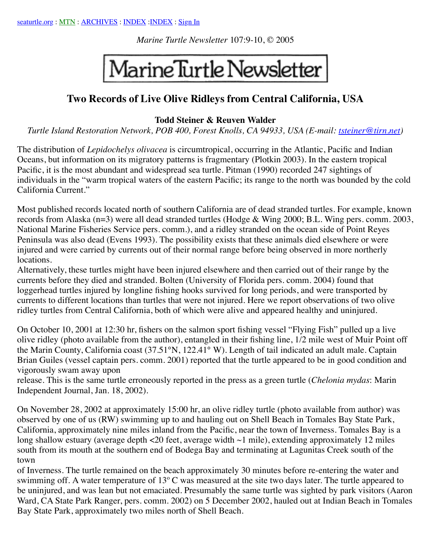*Marine Turtle Newsletter* 107:9-10, © 2005

## MarineTurtle Newsletter

## **Two Records of Live Olive Ridleys from Central California, USA**

## **Todd Steiner & Reuven Walder**

*Turtle Island Restoration Network, POB 400, Forest Knolls, CA 94933, USA (E-mail: [tsteiner@tirn.net\)](mailto:tsteiner@tirn.net)*

The distribution of *Lepidochelys olivacea* is circumtropical, occurring in the Atlantic, Pacific and Indian Oceans, but information on its migratory patterns is fragmentary (Plotkin 2003). In the eastern tropical Pacific, it is the most abundant and widespread sea turtle. Pitman (1990) recorded 247 sightings of individuals in the "warm tropical waters of the eastern Pacific; its range to the north was bounded by the cold California Current."

Most published records located north of southern California are of dead stranded turtles. For example, known records from Alaska (n=3) were all dead stranded turtles (Hodge & Wing 2000; B.L. Wing pers. comm. 2003, National Marine Fisheries Service pers. comm.), and a ridley stranded on the ocean side of Point Reyes Peninsula was also dead (Evens 1993). The possibility exists that these animals died elsewhere or were injured and were carried by currents out of their normal range before being observed in more northerly locations.

Alternatively, these turtles might have been injured elsewhere and then carried out of their range by the currents before they died and stranded. Bolten (University of Florida pers. comm. 2004) found that loggerhead turtles injured by longline fishing hooks survived for long periods, and were transported by currents to different locations than turtles that were not injured. Here we report observations of two olive ridley turtles from Central California, both of which were alive and appeared healthy and uninjured.

On October 10, 2001 at 12:30 hr, fishers on the salmon sport fishing vessel "Flying Fish" pulled up a live olive ridley (photo available from the author), entangled in their fishing line, 1/2 mile west of Muir Point off the Marin County, California coast (37.51°N, 122.41° W). Length of tail indicated an adult male. Captain Brian Guiles (vessel captain pers. comm. 2001) reported that the turtle appeared to be in good condition and vigorously swam away upon

release. This is the same turtle erroneously reported in the press as a green turtle (*Chelonia mydas*: Marin Independent Journal, Jan. 18, 2002).

On November 28, 2002 at approximately 15:00 hr, an olive ridley turtle (photo available from author) was observed by one of us (RW) swimming up to and hauling out on Shell Beach in Tomales Bay State Park, California, approximately nine miles inland from the Pacific, near the town of Inverness. Tomales Bay is a long shallow estuary (average depth <20 feet, average width ~1 mile), extending approximately 12 miles south from its mouth at the southern end of Bodega Bay and terminating at Lagunitas Creek south of the town

of Inverness. The turtle remained on the beach approximately 30 minutes before re-entering the water and swimming off. A water temperature of 13<sup>°</sup> C was measured at the site two days later. The turtle appeared to be uninjured, and was lean but not emaciated. Presumably the same turtle was sighted by park visitors (Aaron Ward, CA State Park Ranger, pers. comm. 2002) on 5 December 2002, hauled out at Indian Beach in Tomales Bay State Park, approximately two miles north of Shell Beach.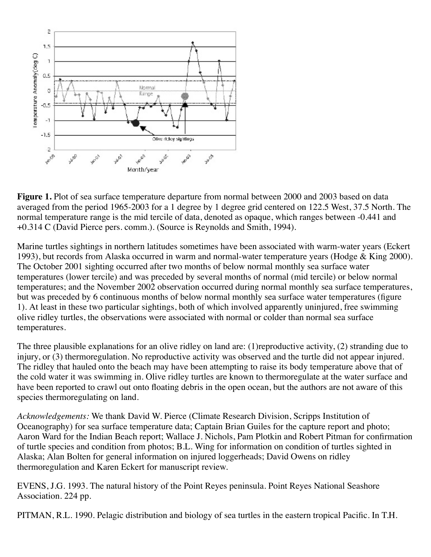

**Figure 1.** Plot of sea surface temperature departure from normal between 2000 and 2003 based on data averaged from the period 1965-2003 for a 1 degree by 1 degree grid centered on 122.5 West, 37.5 North. The normal temperature range is the mid tercile of data, denoted as opaque, which ranges between -0.441 and +0.314 C (David Pierce pers. comm.). (Source is Reynolds and Smith, 1994).

Marine turtles sightings in northern latitudes sometimes have been associated with warm-water years (Eckert 1993), but records from Alaska occurred in warm and normal-water temperature years (Hodge & King 2000). The October 2001 sighting occurred after two months of below normal monthly sea surface water temperatures (lower tercile) and was preceded by several months of normal (mid tercile) or below normal temperatures; and the November 2002 observation occurred during normal monthly sea surface temperatures, but was preceded by 6 continuous months of below normal monthly sea surface water temperatures (figure 1). At least in these two particular sightings, both of which involved apparently uninjured, free swimming olive ridley turtles, the observations were associated with normal or colder than normal sea surface temperatures.

The three plausible explanations for an olive ridley on land are: (1)reproductive activity, (2) stranding due to injury, or (3) thermoregulation. No reproductive activity was observed and the turtle did not appear injured. The ridley that hauled onto the beach may have been attempting to raise its body temperature above that of the cold water it was swimming in. Olive ridley turtles are known to thermoregulate at the water surface and have been reported to crawl out onto floating debris in the open ocean, but the authors are not aware of this species thermoregulating on land.

*Acknowledgements:* We thank David W. Pierce (Climate Research Division, Scripps Institution of Oceanography) for sea surface temperature data; Captain Brian Guiles for the capture report and photo; Aaron Ward for the Indian Beach report; Wallace J. Nichols, Pam Plotkin and Robert Pitman for confirmation of turtle species and condition from photos; B.L. Wing for information on condition of turtles sighted in Alaska; Alan Bolten for general information on injured loggerheads; David Owens on ridley thermoregulation and Karen Eckert for manuscript review.

EVENS, J.G. 1993. The natural history of the Point Reyes peninsula. Point Reyes National Seashore Association. 224 pp.

PITMAN, R.L. 1990. Pelagic distribution and biology of sea turtles in the eastern tropical Pacific. In T.H.